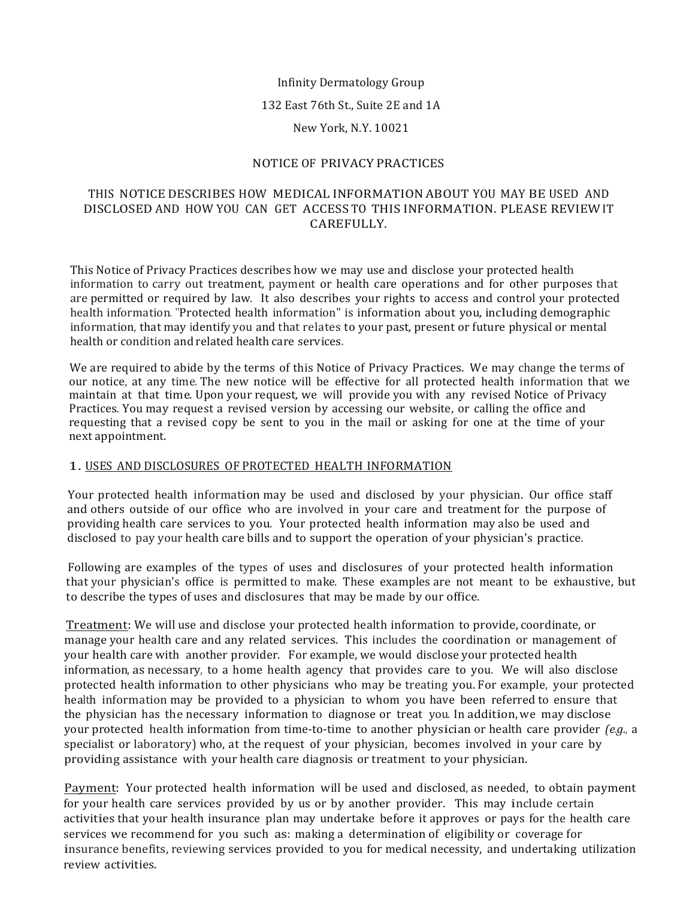#### Infinity Dermatology Group

132 East 76th St., Suite 2E and 1A

#### New York, N.Y. 10021

## NOTICE OF PRIVACY PRACTICES

## THIS NOTICE DESCRIBES HOW MEDICAL INFORMATION ABOUT YOU MAY BE USED AND DISCLOSED AND HOW YOU CAN GET ACCESS TO THIS INFORMATION. PLEASE REVIEW IT CAREFULLY.

This Notice of Privacy Practices describes how we may use and disclose your protected health information to carry out treatment, payment or health care operations and for other purposes that are permitted or required by law. It also describes your rights to access and control your protected health information. "Protected health information" is information about you, including demographic information, that may identify you and that relates to your past, present or future physical or mental health or condition and related health care services.

We are required to abide by the terms of this Notice of Privacy Practices. We may change the terms of our notice, at any time. The new notice will be effective for all protected health information that we maintain at that time. Upon your request, we will provide you with any revised Notice of Privacy Practices. You may request a revised version by accessing our website, or calling the office and requesting that a revised copy be sent to you in the mail or asking for one at the time of your next appointment.

## 1. USES AND DISCLOSURES OF PROTECTED HEALTH INFORMATION

Your protected health information may be used and disclosed by your physician. Our office staff and others outside of our office who are involved in your care and treatment for the purpose of providing health care services to you. Your protected health information may also be used and disclosed to pay your health care bills and to support the operation of your physician's practice.

Following are examples of the types of uses and disclosures of your protected health information that your physician's office is permitted to make. These examples are not meant to be exhaustive, but to describe the types of uses and disclosures that may be made by our office.

Treatment: We will use and disclose your protected health information to provide, coordinate, or manage your health care and any related services. This includes the coordination or management of your health care with another provider. For example, we would disclose your protected health information, as necessary, to a home health agency that provides care to you. We will also disclose protected health information to other physicians who may be treating you. For example, your protected health information may be provided to a physician to whom you have been referred to ensure that the physician has the necessary information to diagnose or treat you. In addition, we may disclose your protected health information from time-to-time to another physician or health care provider *(e.g.,* a specialist or laboratory) who, at the request of your physician, becomes involved in your care by providing assistance with your health care diagnosis or treatment to your physician.

Payment: Your protected health information will be used and disclosed, as needed, to obtain payment for your health care services provided by us or by another provider. This may include certain activities that your health insurance plan may undertake before it approves or pays for the health care services we recommend for you such as: making a determination of eligibility or coverage for insurance benefits, reviewing services provided to you for medical necessity, and undertaking utilization review activities.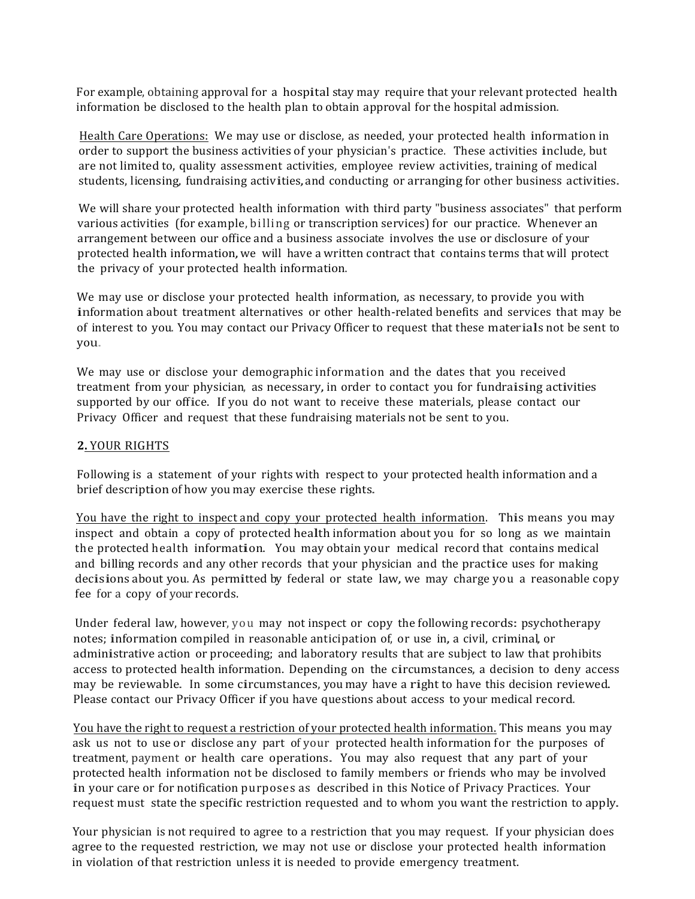For example, obtaining approval for a hospital stay may require that your relevant protected health information be disclosed to the health plan to obtain approval for the hospital admission.

Health Care Operations: We may use or disclose, as needed, your protected health information in order to support the business activities of your physician's practice. These activities include, but are not limited to, quality assessment activities, employee review activities, training of medical students, licensing, fundraising activities, and conducting or arranging for other business activities.

We will share your protected health information with third party "business associates" that perform various activities (for example, billing or transcription services) for our practice. Whenever an arrangement between our office and a business associate involves the use or disclosure of your protected health information, we will have a written contract that contains terms that will protect the privacy of your protected health information.

We may use or disclose your protected health information, as necessary, to provide you with information about treatment alternatives or other health-related benefits and services that may be of interest to you. You may contact our Privacy Officer to request that these materials not be sent to you.

We may use or disclose your demographic information and the dates that you received treatment from your physician, as necessary, in order to contact you for fundraising activities supported by our office. If you do not want to receive these materials, please contact our Privacy Officer and request that these fundraising materials not be sent to you.

## **2.** YOUR RIGHTS

Following is a statement of your rights with respect to your protected health information and a brief description of how you may exercise these rights.

You have the right to inspect and copy your protected health information. This means you may inspect and obtain a copy of protected health information about you for so long as we maintain the protected health information. You may obtain your medical record that contains medical and billing records and any other records that your physician and the practice uses for making decisions about you. As permitted by federal or state law, we may charge you a reasonable copy fee for a copy of your records.

Under federal law, however, you may not inspect or copy the following records: psychotherapy notes; information compiled in reasonable anticipation of, or use in, a civil, criminal, or administrative action or proceeding; and laboratory results that are subject to law that prohibits access to protected health information. Depending on the circumstances, a decision to deny access may be reviewable. In some circumstances, you may have a right to have this decision reviewed. Please contact our Privacy Officer if you have questions about access to your medical record.

You have the right to request a restriction of your protected health information. This means you may ask us not to use or disclose any part of your protected health information for the purposes of treatment, payment or health care operations. You may also request that any part of your protected health information not be disclosed to family members or friends who may be involved in your care or for notification purposes as described in this Notice of Privacy Practices. Your request must state the specific restriction requested and to whom you want the restriction to apply.

Your physician is not required to agree to a restriction that you may request. If your physician does agree to the requested restriction, we may not use or disclose your protected health information in violation of that restriction unless it is needed to provide emergency treatment.